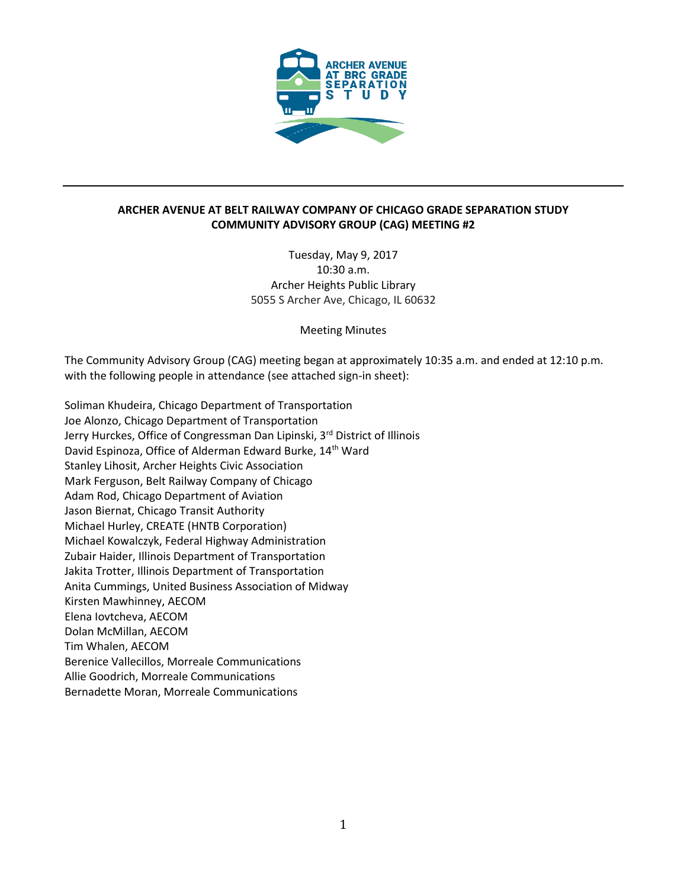

## **ARCHER AVENUE AT BELT RAILWAY COMPANY OF CHICAGO GRADE SEPARATION STUDY COMMUNITY ADVISORY GROUP (CAG) MEETING #2**

Tuesday, May 9, 2017 10:30 a.m. Archer Heights Public Library 5055 S Archer Ave, Chicago, IL 60632

Meeting Minutes

The Community Advisory Group (CAG) meeting began at approximately 10:35 a.m. and ended at 12:10 p.m. with the following people in attendance (see attached sign-in sheet):

Soliman Khudeira, Chicago Department of Transportation Joe Alonzo, Chicago Department of Transportation Jerry Hurckes, Office of Congressman Dan Lipinski, 3<sup>rd</sup> District of Illinois David Espinoza, Office of Alderman Edward Burke, 14<sup>th</sup> Ward Stanley Lihosit, Archer Heights Civic Association Mark Ferguson, Belt Railway Company of Chicago Adam Rod, Chicago Department of Aviation Jason Biernat, Chicago Transit Authority Michael Hurley, CREATE (HNTB Corporation) Michael Kowalczyk, Federal Highway Administration Zubair Haider, Illinois Department of Transportation Jakita Trotter, Illinois Department of Transportation Anita Cummings, United Business Association of Midway Kirsten Mawhinney, AECOM Elena Iovtcheva, AECOM Dolan McMillan, AECOM Tim Whalen, AECOM Berenice Vallecillos, Morreale Communications Allie Goodrich, Morreale Communications Bernadette Moran, Morreale Communications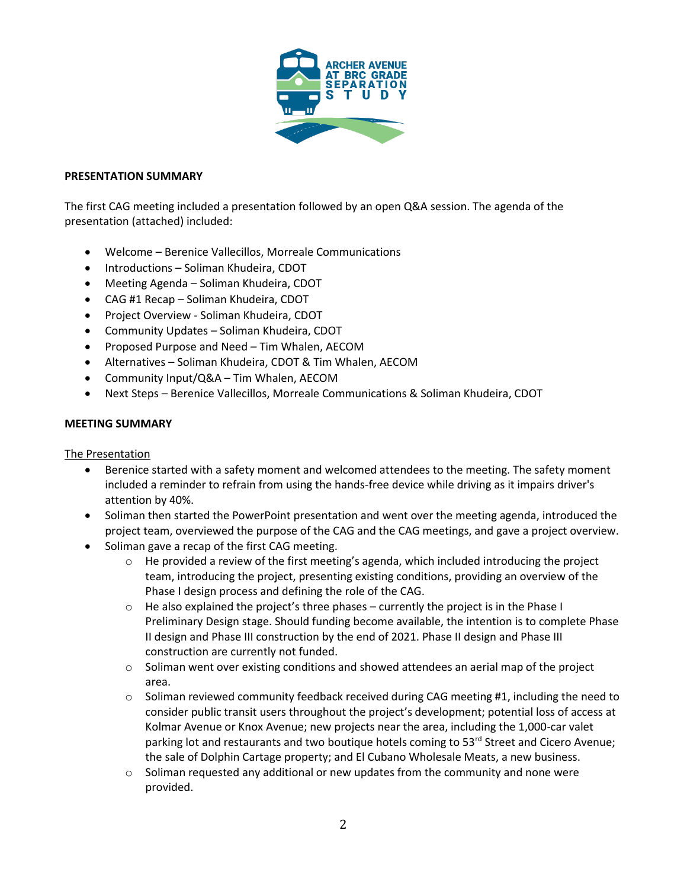

### **PRESENTATION SUMMARY**

The first CAG meeting included a presentation followed by an open Q&A session. The agenda of the presentation (attached) included:

- Welcome Berenice Vallecillos, Morreale Communications
- Introductions Soliman Khudeira, CDOT
- Meeting Agenda Soliman Khudeira, CDOT
- CAG #1 Recap Soliman Khudeira, CDOT
- Project Overview Soliman Khudeira, CDOT
- Community Updates Soliman Khudeira, CDOT
- Proposed Purpose and Need Tim Whalen, AECOM
- Alternatives Soliman Khudeira, CDOT & Tim Whalen, AECOM
- Community Input/Q&A Tim Whalen, AECOM
- Next Steps Berenice Vallecillos, Morreale Communications & Soliman Khudeira, CDOT

#### **MEETING SUMMARY**

## The Presentation

- Berenice started with a safety moment and welcomed attendees to the meeting. The safety moment included a reminder to refrain from using the hands-free device while driving as it impairs driver's attention by 40%.
- Soliman then started the PowerPoint presentation and went over the meeting agenda, introduced the project team, overviewed the purpose of the CAG and the CAG meetings, and gave a project overview.
- Soliman gave a recap of the first CAG meeting.
	- $\circ$  He provided a review of the first meeting's agenda, which included introducing the project team, introducing the project, presenting existing conditions, providing an overview of the Phase I design process and defining the role of the CAG.
	- $\circ$  He also explained the project's three phases currently the project is in the Phase I Preliminary Design stage. Should funding become available, the intention is to complete Phase II design and Phase III construction by the end of 2021. Phase II design and Phase III construction are currently not funded.
	- o Soliman went over existing conditions and showed attendees an aerial map of the project area.
	- $\circ$  Soliman reviewed community feedback received during CAG meeting #1, including the need to consider public transit users throughout the project's development; potential loss of access at Kolmar Avenue or Knox Avenue; new projects near the area, including the 1,000-car valet parking lot and restaurants and two boutique hotels coming to 53<sup>rd</sup> Street and Cicero Avenue; the sale of Dolphin Cartage property; and El Cubano Wholesale Meats, a new business.
	- $\circ$  Soliman requested any additional or new updates from the community and none were provided.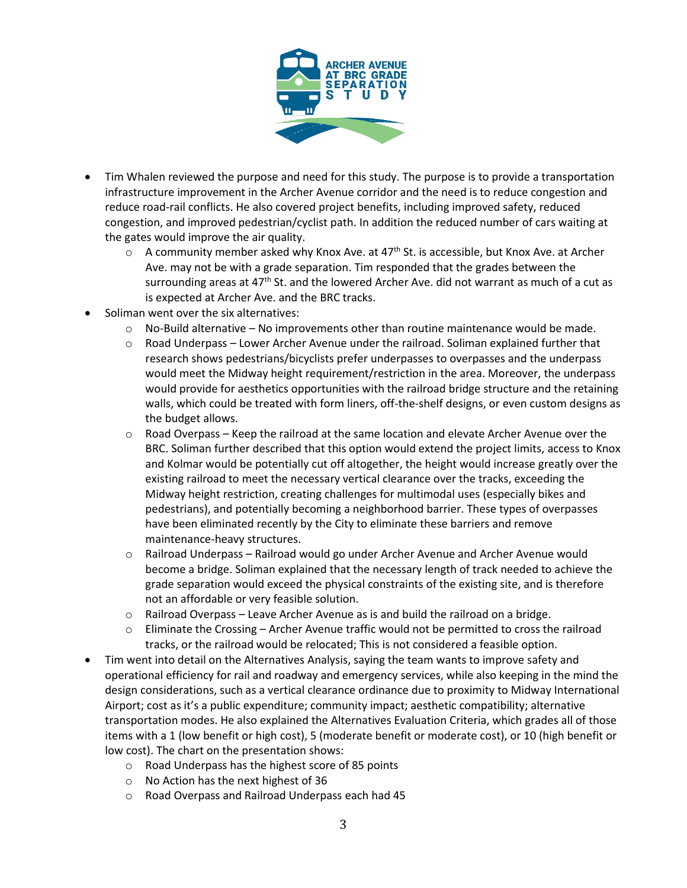

- Tim Whalen reviewed the purpose and need for this study. The purpose is to provide a transportation infrastructure improvement in the Archer Avenue corridor and the need is to reduce congestion and reduce road-rail conflicts. He also covered project benefits, including improved safety, reduced congestion, and improved pedestrian/cyclist path. In addition the reduced number of cars waiting at the gates would improve the air quality.
	- $\circ$  A community member asked why Knox Ave. at 47<sup>th</sup> St. is accessible, but Knox Ave. at Archer Ave. may not be with a grade separation. Tim responded that the grades between the surrounding areas at 47<sup>th</sup> St. and the lowered Archer Ave. did not warrant as much of a cut as is expected at Archer Ave. and the BRC tracks.
- Soliman went over the six alternatives:
	- $\circ$  No-Build alternative No improvements other than routine maintenance would be made.
	- $\circ$  Road Underpass Lower Archer Avenue under the railroad. Soliman explained further that research shows pedestrians/bicyclists prefer underpasses to overpasses and the underpass would meet the Midway height requirement/restriction in the area. Moreover, the underpass would provide for aesthetics opportunities with the railroad bridge structure and the retaining walls, which could be treated with form liners, off-the-shelf designs, or even custom designs as the budget allows.
	- $\circ$  Road Overpass Keep the railroad at the same location and elevate Archer Avenue over the BRC. Soliman further described that this option would extend the project limits, access to Knox and Kolmar would be potentially cut off altogether, the height would increase greatly over the existing railroad to meet the necessary vertical clearance over the tracks, exceeding the Midway height restriction, creating challenges for multimodal uses (especially bikes and pedestrians), and potentially becoming a neighborhood barrier. These types of overpasses have been eliminated recently by the City to eliminate these barriers and remove maintenance-heavy structures.
	- o Railroad Underpass Railroad would go under Archer Avenue and Archer Avenue would become a bridge. Soliman explained that the necessary length of track needed to achieve the grade separation would exceed the physical constraints of the existing site, and is therefore not an affordable or very feasible solution.
	- $\circ$  Railroad Overpass Leave Archer Avenue as is and build the railroad on a bridge.
	- $\circ$  Eliminate the Crossing Archer Avenue traffic would not be permitted to cross the railroad tracks, or the railroad would be relocated; This is not considered a feasible option.
- Tim went into detail on the Alternatives Analysis, saying the team wants to improve safety and operational efficiency for rail and roadway and emergency services, while also keeping in the mind the design considerations, such as a vertical clearance ordinance due to proximity to Midway International Airport; cost as it's a public expenditure; community impact; aesthetic compatibility; alternative transportation modes. He also explained the Alternatives Evaluation Criteria, which grades all of those items with a 1 (low benefit or high cost), 5 (moderate benefit or moderate cost), or 10 (high benefit or low cost). The chart on the presentation shows:
	- o Road Underpass has the highest score of 85 points
	- o No Action has the next highest of 36
	- o Road Overpass and Railroad Underpass each had 45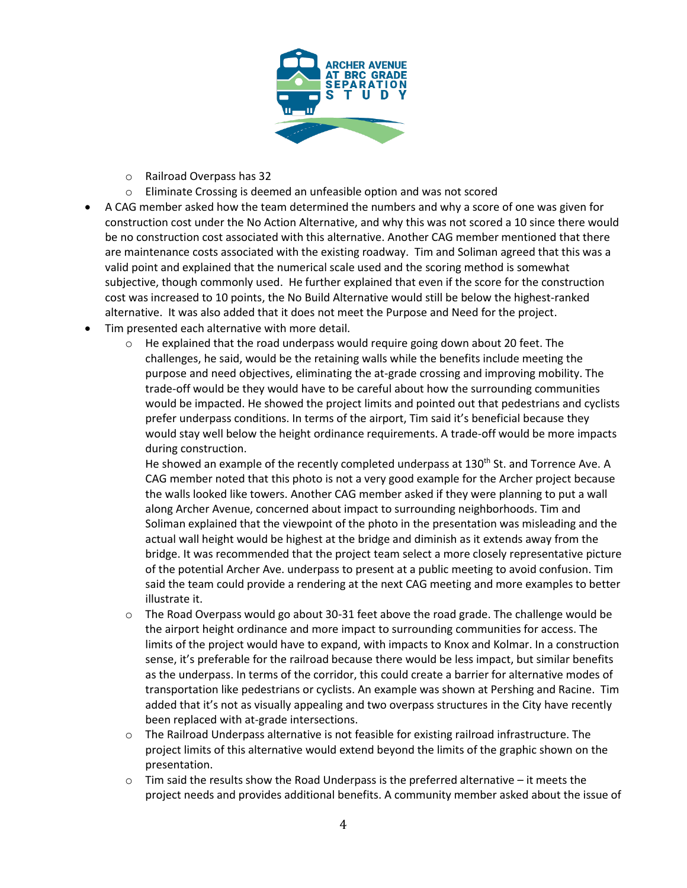

- o Railroad Overpass has 32
- o Eliminate Crossing is deemed an unfeasible option and was not scored
- A CAG member asked how the team determined the numbers and why a score of one was given for construction cost under the No Action Alternative, and why this was not scored a 10 since there would be no construction cost associated with this alternative. Another CAG member mentioned that there are maintenance costs associated with the existing roadway. Tim and Soliman agreed that this was a valid point and explained that the numerical scale used and the scoring method is somewhat subjective, though commonly used. He further explained that even if the score for the construction cost was increased to 10 points, the No Build Alternative would still be below the highest-ranked alternative. It was also added that it does not meet the Purpose and Need for the project.
- Tim presented each alternative with more detail.
	- $\circ$  He explained that the road underpass would require going down about 20 feet. The challenges, he said, would be the retaining walls while the benefits include meeting the purpose and need objectives, eliminating the at-grade crossing and improving mobility. The trade-off would be they would have to be careful about how the surrounding communities would be impacted. He showed the project limits and pointed out that pedestrians and cyclists prefer underpass conditions. In terms of the airport, Tim said it's beneficial because they would stay well below the height ordinance requirements. A trade-off would be more impacts during construction.

He showed an example of the recently completed underpass at 130<sup>th</sup> St. and Torrence Ave. A CAG member noted that this photo is not a very good example for the Archer project because the walls looked like towers. Another CAG member asked if they were planning to put a wall along Archer Avenue, concerned about impact to surrounding neighborhoods. Tim and Soliman explained that the viewpoint of the photo in the presentation was misleading and the actual wall height would be highest at the bridge and diminish as it extends away from the bridge. It was recommended that the project team select a more closely representative picture of the potential Archer Ave. underpass to present at a public meeting to avoid confusion. Tim said the team could provide a rendering at the next CAG meeting and more examples to better illustrate it.

- $\circ$  The Road Overpass would go about 30-31 feet above the road grade. The challenge would be the airport height ordinance and more impact to surrounding communities for access. The limits of the project would have to expand, with impacts to Knox and Kolmar. In a construction sense, it's preferable for the railroad because there would be less impact, but similar benefits as the underpass. In terms of the corridor, this could create a barrier for alternative modes of transportation like pedestrians or cyclists. An example was shown at Pershing and Racine. Tim added that it's not as visually appealing and two overpass structures in the City have recently been replaced with at-grade intersections.
- $\circ$  The Railroad Underpass alternative is not feasible for existing railroad infrastructure. The project limits of this alternative would extend beyond the limits of the graphic shown on the presentation.
- $\circ$  Tim said the results show the Road Underpass is the preferred alternative it meets the project needs and provides additional benefits. A community member asked about the issue of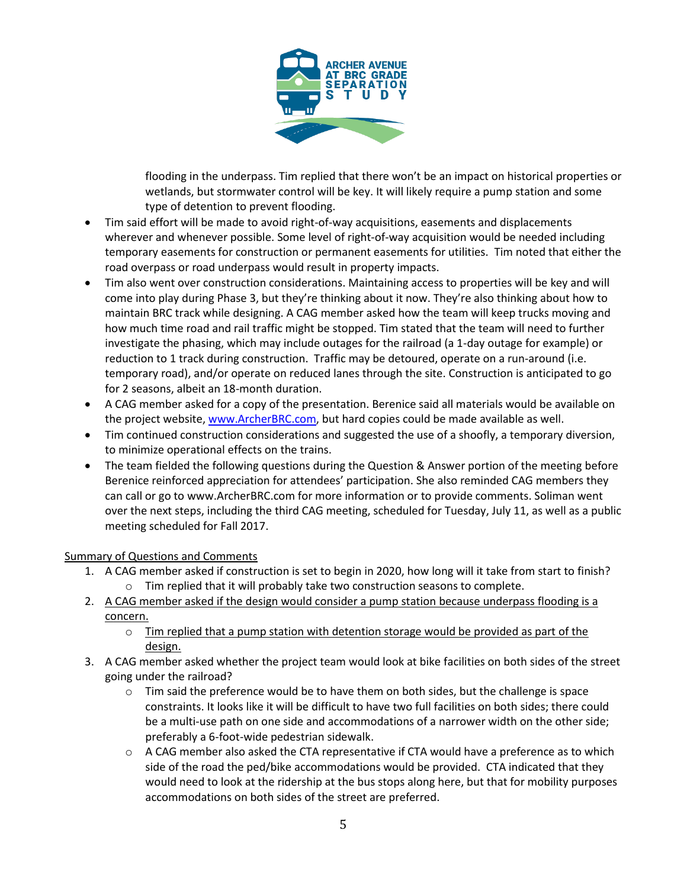

flooding in the underpass. Tim replied that there won't be an impact on historical properties or wetlands, but stormwater control will be key. It will likely require a pump station and some type of detention to prevent flooding.

- Tim said effort will be made to avoid right-of-way acquisitions, easements and displacements wherever and whenever possible. Some level of right-of-way acquisition would be needed including temporary easements for construction or permanent easements for utilities. Tim noted that either the road overpass or road underpass would result in property impacts.
- Tim also went over construction considerations. Maintaining access to properties will be key and will come into play during Phase 3, but they're thinking about it now. They're also thinking about how to maintain BRC track while designing. A CAG member asked how the team will keep trucks moving and how much time road and rail traffic might be stopped. Tim stated that the team will need to further investigate the phasing, which may include outages for the railroad (a 1-day outage for example) or reduction to 1 track during construction. Traffic may be detoured, operate on a run-around (i.e. temporary road), and/or operate on reduced lanes through the site. Construction is anticipated to go for 2 seasons, albeit an 18-month duration.
- A CAG member asked for a copy of the presentation. Berenice said all materials would be available on the project website[, www.ArcherBRC.com,](http://www.archerbrc.com/) but hard copies could be made available as well.
- Tim continued construction considerations and suggested the use of a shoofly, a temporary diversion, to minimize operational effects on the trains.
- The team fielded the following questions during the Question & Answer portion of the meeting before Berenice reinforced appreciation for attendees' participation. She also reminded CAG members they can call or go to www.ArcherBRC.com for more information or to provide comments. Soliman went over the next steps, including the third CAG meeting, scheduled for Tuesday, July 11, as well as a public meeting scheduled for Fall 2017.

# Summary of Questions and Comments

- 1. A CAG member asked if construction is set to begin in 2020, how long will it take from start to finish? o Tim replied that it will probably take two construction seasons to complete.
- 2. A CAG member asked if the design would consider a pump station because underpass flooding is a concern.
	- $\circ$  Tim replied that a pump station with detention storage would be provided as part of the design.
- 3. A CAG member asked whether the project team would look at bike facilities on both sides of the street going under the railroad?
	- $\circ$  Tim said the preference would be to have them on both sides, but the challenge is space constraints. It looks like it will be difficult to have two full facilities on both sides; there could be a multi-use path on one side and accommodations of a narrower width on the other side; preferably a 6-foot-wide pedestrian sidewalk.
	- $\circ$  A CAG member also asked the CTA representative if CTA would have a preference as to which side of the road the ped/bike accommodations would be provided. CTA indicated that they would need to look at the ridership at the bus stops along here, but that for mobility purposes accommodations on both sides of the street are preferred.